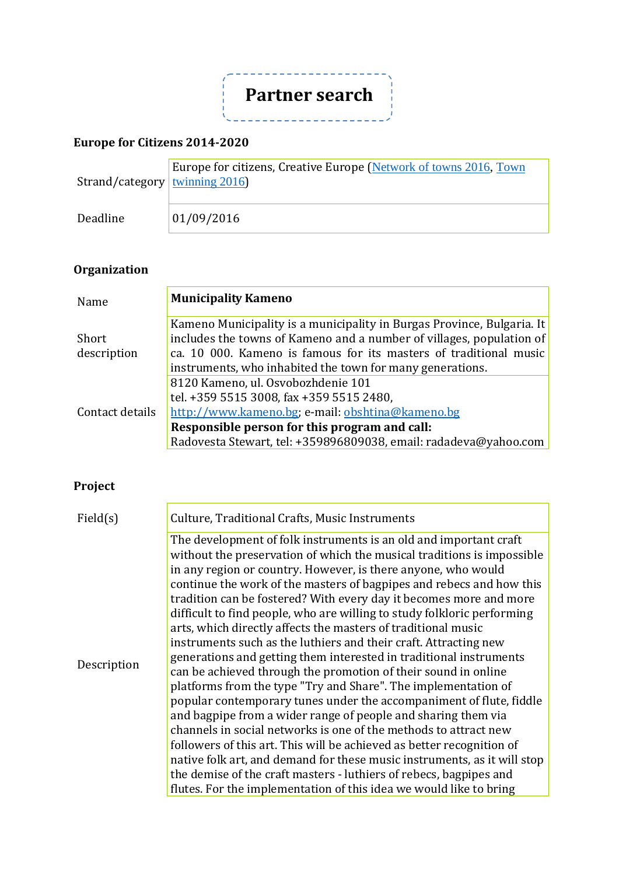

### **Europe for Citizens 2014-2020**

| Strand/category <u>twinning</u> $2016$ | Europe for citizens, Creative Europe (Network of towns 2016, Town |
|----------------------------------------|-------------------------------------------------------------------|
| Deadline                               | 01/09/2016                                                        |

# **Organization**

| Name            | <b>Municipality Kameno</b>                                             |
|-----------------|------------------------------------------------------------------------|
|                 | Kameno Municipality is a municipality in Burgas Province, Bulgaria. It |
| Short           | includes the towns of Kameno and a number of villages, population of   |
| description     | ca. 10 000. Kameno is famous for its masters of traditional music      |
|                 | instruments, who inhabited the town for many generations.              |
| Contact details | 8120 Kameno, ul. Osvobozhdenie 101                                     |
|                 | tel. +359 5515 3008, fax +359 5515 2480.                               |
|                 | http://www.kameno.bg; e-mail: obshtina@kameno.bg                       |
|                 | Responsible person for this program and call:                          |
|                 | Radovesta Stewart, tel: +359896809038, email: radadeva@yahoo.com       |

# **Project**

| Field(s)    | Culture, Traditional Crafts, Music Instruments                           |
|-------------|--------------------------------------------------------------------------|
|             |                                                                          |
|             | The development of folk instruments is an old and important craft        |
|             | without the preservation of which the musical traditions is impossible   |
|             | in any region or country. However, is there anyone, who would            |
|             | continue the work of the masters of bagpipes and rebecs and how this     |
|             | tradition can be fostered? With every day it becomes more and more       |
|             | difficult to find people, who are willing to study folkloric performing  |
|             | arts, which directly affects the masters of traditional music            |
|             | instruments such as the luthiers and their craft. Attracting new         |
|             | generations and getting them interested in traditional instruments       |
| Description | can be achieved through the promotion of their sound in online           |
|             | platforms from the type "Try and Share". The implementation of           |
|             | popular contemporary tunes under the accompaniment of flute, fiddle      |
|             | and bagpipe from a wider range of people and sharing them via            |
|             | channels in social networks is one of the methods to attract new         |
|             | followers of this art. This will be achieved as better recognition of    |
|             | native folk art, and demand for these music instruments, as it will stop |
|             | the demise of the craft masters - luthiers of rebecs, bagpipes and       |
|             | flutes. For the implementation of this idea we would like to bring       |